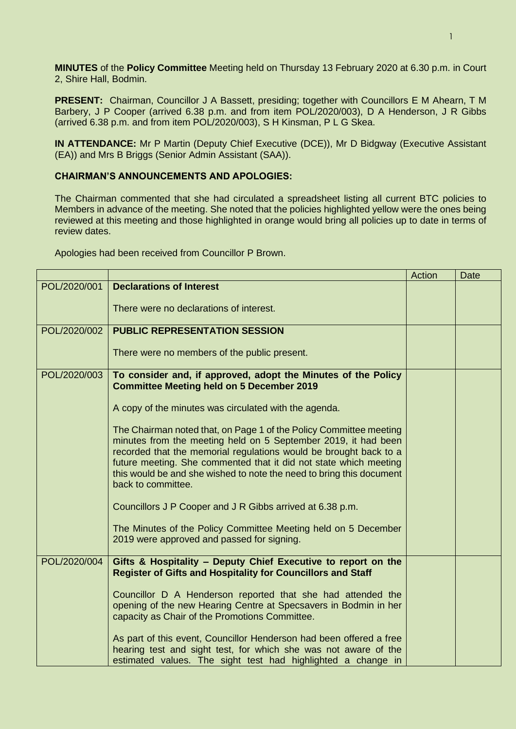**MINUTES** of the **Policy Committee** Meeting held on Thursday 13 February 2020 at 6.30 p.m. in Court 2, Shire Hall, Bodmin.

**PRESENT:** Chairman, Councillor J A Bassett, presiding; together with Councillors E M Ahearn, T M Barbery, J P Cooper (arrived 6.38 p.m. and from item POL/2020/003), D A Henderson, J R Gibbs (arrived 6.38 p.m. and from item POL/2020/003), S H Kinsman, P L G Skea.

**IN ATTENDANCE:** Mr P Martin (Deputy Chief Executive (DCE)), Mr D Bidgway (Executive Assistant (EA)) and Mrs B Briggs (Senior Admin Assistant (SAA)).

## **CHAIRMAN'S ANNOUNCEMENTS AND APOLOGIES:**

The Chairman commented that she had circulated a spreadsheet listing all current BTC policies to Members in advance of the meeting. She noted that the policies highlighted yellow were the ones being reviewed at this meeting and those highlighted in orange would bring all policies up to date in terms of review dates.

Apologies had been received from Councillor P Brown.

|              |                                                                                                                                     | Action | Date |
|--------------|-------------------------------------------------------------------------------------------------------------------------------------|--------|------|
| POL/2020/001 | <b>Declarations of Interest</b>                                                                                                     |        |      |
|              | There were no declarations of interest.                                                                                             |        |      |
|              |                                                                                                                                     |        |      |
| POL/2020/002 | <b>PUBLIC REPRESENTATION SESSION</b>                                                                                                |        |      |
|              | There were no members of the public present.                                                                                        |        |      |
| POL/2020/003 | To consider and, if approved, adopt the Minutes of the Policy<br><b>Committee Meeting held on 5 December 2019</b>                   |        |      |
|              | A copy of the minutes was circulated with the agenda.                                                                               |        |      |
|              | The Chairman noted that, on Page 1 of the Policy Committee meeting                                                                  |        |      |
|              | minutes from the meeting held on 5 September 2019, it had been<br>recorded that the memorial regulations would be brought back to a |        |      |
|              | future meeting. She commented that it did not state which meeting                                                                   |        |      |
|              | this would be and she wished to note the need to bring this document<br>back to committee.                                          |        |      |
|              | Councillors J P Cooper and J R Gibbs arrived at 6.38 p.m.                                                                           |        |      |
|              | The Minutes of the Policy Committee Meeting held on 5 December                                                                      |        |      |
|              | 2019 were approved and passed for signing.                                                                                          |        |      |
| POL/2020/004 | Gifts & Hospitality - Deputy Chief Executive to report on the                                                                       |        |      |
|              | <b>Register of Gifts and Hospitality for Councillors and Staff</b>                                                                  |        |      |
|              | Councillor D A Henderson reported that she had attended the                                                                         |        |      |
|              | opening of the new Hearing Centre at Specsavers in Bodmin in her<br>capacity as Chair of the Promotions Committee.                  |        |      |
|              | As part of this event, Councillor Henderson had been offered a free                                                                 |        |      |
|              | hearing test and sight test, for which she was not aware of the                                                                     |        |      |
|              | estimated values. The sight test had highlighted a change in                                                                        |        |      |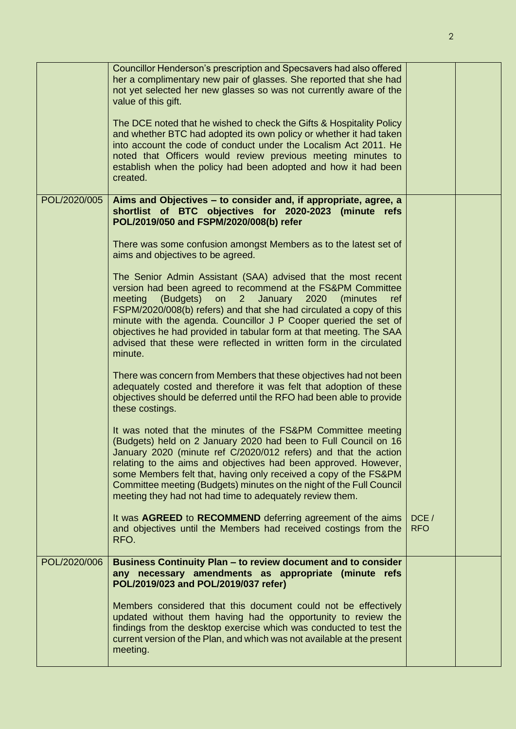|              | Councillor Henderson's prescription and Specsavers had also offered<br>her a complimentary new pair of glasses. She reported that she had<br>not yet selected her new glasses so was not currently aware of the<br>value of this gift.<br>The DCE noted that he wished to check the Gifts & Hospitality Policy<br>and whether BTC had adopted its own policy or whether it had taken<br>into account the code of conduct under the Localism Act 2011. He<br>noted that Officers would review previous meeting minutes to<br>establish when the policy had been adopted and how it had been<br>created. |                    |  |
|--------------|--------------------------------------------------------------------------------------------------------------------------------------------------------------------------------------------------------------------------------------------------------------------------------------------------------------------------------------------------------------------------------------------------------------------------------------------------------------------------------------------------------------------------------------------------------------------------------------------------------|--------------------|--|
| POL/2020/005 | Aims and Objectives – to consider and, if appropriate, agree, a<br>shortlist of BTC objectives for 2020-2023 (minute refs<br>POL/2019/050 and FSPM/2020/008(b) refer                                                                                                                                                                                                                                                                                                                                                                                                                                   |                    |  |
|              | There was some confusion amongst Members as to the latest set of<br>aims and objectives to be agreed.                                                                                                                                                                                                                                                                                                                                                                                                                                                                                                  |                    |  |
|              | The Senior Admin Assistant (SAA) advised that the most recent<br>version had been agreed to recommend at the FS&PM Committee<br>(Budgets)<br>on<br>$\overline{2}$<br>January<br>2020<br>meeting<br>(minutes)<br>ref<br>FSPM/2020/008(b) refers) and that she had circulated a copy of this<br>minute with the agenda. Councillor J P Cooper queried the set of<br>objectives he had provided in tabular form at that meeting. The SAA<br>advised that these were reflected in written form in the circulated<br>minute.                                                                                |                    |  |
|              | There was concern from Members that these objectives had not been<br>adequately costed and therefore it was felt that adoption of these<br>objectives should be deferred until the RFO had been able to provide<br>these costings.                                                                                                                                                                                                                                                                                                                                                                     |                    |  |
|              | It was noted that the minutes of the FS&PM Committee meeting<br>(Budgets) held on 2 January 2020 had been to Full Council on 16<br>January 2020 (minute ref C/2020/012 refers) and that the action<br>relating to the aims and objectives had been approved. However,<br>some Members felt that, having only received a copy of the FS&PM<br>Committee meeting (Budgets) minutes on the night of the Full Council<br>meeting they had not had time to adequately review them.                                                                                                                          |                    |  |
|              | It was AGREED to RECOMMEND deferring agreement of the aims<br>and objectives until the Members had received costings from the<br>RFO.                                                                                                                                                                                                                                                                                                                                                                                                                                                                  | DCE/<br><b>RFO</b> |  |
| POL/2020/006 | Business Continuity Plan - to review document and to consider<br>any necessary amendments as appropriate (minute refs<br>POL/2019/023 and POL/2019/037 refer)                                                                                                                                                                                                                                                                                                                                                                                                                                          |                    |  |
|              | Members considered that this document could not be effectively<br>updated without them having had the opportunity to review the<br>findings from the desktop exercise which was conducted to test the<br>current version of the Plan, and which was not available at the present<br>meeting.                                                                                                                                                                                                                                                                                                           |                    |  |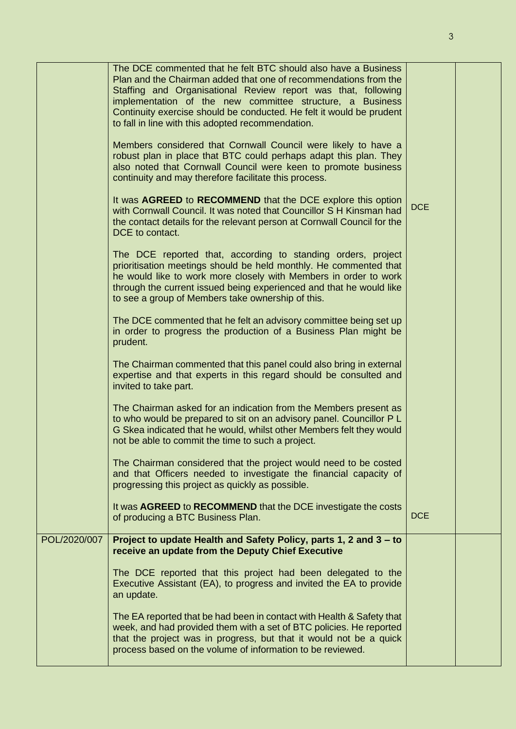|              | The DCE commented that he felt BTC should also have a Business<br>Plan and the Chairman added that one of recommendations from the<br>Staffing and Organisational Review report was that, following<br>implementation of the new committee structure, a Business<br>Continuity exercise should be conducted. He felt it would be prudent<br>to fall in line with this adopted recommendation.<br>Members considered that Cornwall Council were likely to have a<br>robust plan in place that BTC could perhaps adapt this plan. They<br>also noted that Cornwall Council were keen to promote business<br>continuity and may therefore facilitate this process.<br>It was AGREED to RECOMMEND that the DCE explore this option<br>with Cornwall Council. It was noted that Councillor S H Kinsman had<br>the contact details for the relevant person at Cornwall Council for the<br>DCE to contact.<br>The DCE reported that, according to standing orders, project<br>prioritisation meetings should be held monthly. He commented that<br>he would like to work more closely with Members in order to work<br>through the current issued being experienced and that he would like<br>to see a group of Members take ownership of this.<br>The DCE commented that he felt an advisory committee being set up<br>in order to progress the production of a Business Plan might be<br>prudent.<br>The Chairman commented that this panel could also bring in external<br>expertise and that experts in this regard should be consulted and<br>invited to take part.<br>The Chairman asked for an indication from the Members present as<br>to who would be prepared to sit on an advisory panel. Councillor P L<br>G Skea indicated that he would, whilst other Members felt they would<br>not be able to commit the time to such a project.<br>The Chairman considered that the project would need to be costed<br>and that Officers needed to investigate the financial capacity of<br>progressing this project as quickly as possible. | <b>DCE</b> |  |
|--------------|-----------------------------------------------------------------------------------------------------------------------------------------------------------------------------------------------------------------------------------------------------------------------------------------------------------------------------------------------------------------------------------------------------------------------------------------------------------------------------------------------------------------------------------------------------------------------------------------------------------------------------------------------------------------------------------------------------------------------------------------------------------------------------------------------------------------------------------------------------------------------------------------------------------------------------------------------------------------------------------------------------------------------------------------------------------------------------------------------------------------------------------------------------------------------------------------------------------------------------------------------------------------------------------------------------------------------------------------------------------------------------------------------------------------------------------------------------------------------------------------------------------------------------------------------------------------------------------------------------------------------------------------------------------------------------------------------------------------------------------------------------------------------------------------------------------------------------------------------------------------------------------------------------------------------------------------------------------------------------------------------------------------------------------------|------------|--|
|              | It was AGREED to RECOMMEND that the DCE investigate the costs<br>of producing a BTC Business Plan.                                                                                                                                                                                                                                                                                                                                                                                                                                                                                                                                                                                                                                                                                                                                                                                                                                                                                                                                                                                                                                                                                                                                                                                                                                                                                                                                                                                                                                                                                                                                                                                                                                                                                                                                                                                                                                                                                                                                      | <b>DCE</b> |  |
| POL/2020/007 | Project to update Health and Safety Policy, parts 1, 2 and 3 – to<br>receive an update from the Deputy Chief Executive                                                                                                                                                                                                                                                                                                                                                                                                                                                                                                                                                                                                                                                                                                                                                                                                                                                                                                                                                                                                                                                                                                                                                                                                                                                                                                                                                                                                                                                                                                                                                                                                                                                                                                                                                                                                                                                                                                                  |            |  |
|              | The DCE reported that this project had been delegated to the<br>Executive Assistant (EA), to progress and invited the EA to provide<br>an update.                                                                                                                                                                                                                                                                                                                                                                                                                                                                                                                                                                                                                                                                                                                                                                                                                                                                                                                                                                                                                                                                                                                                                                                                                                                                                                                                                                                                                                                                                                                                                                                                                                                                                                                                                                                                                                                                                       |            |  |
|              | The EA reported that be had been in contact with Health & Safety that<br>week, and had provided them with a set of BTC policies. He reported<br>that the project was in progress, but that it would not be a quick<br>process based on the volume of information to be reviewed.                                                                                                                                                                                                                                                                                                                                                                                                                                                                                                                                                                                                                                                                                                                                                                                                                                                                                                                                                                                                                                                                                                                                                                                                                                                                                                                                                                                                                                                                                                                                                                                                                                                                                                                                                        |            |  |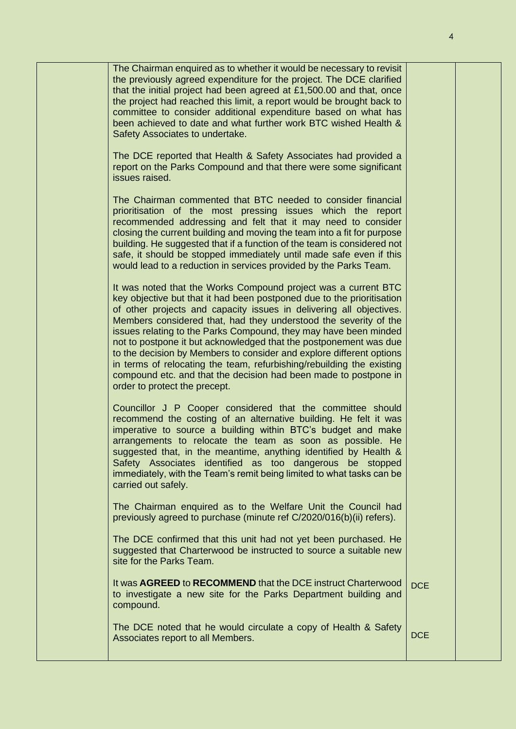|  | The Chairman enquired as to whether it would be necessary to revisit<br>the previously agreed expenditure for the project. The DCE clarified<br>that the initial project had been agreed at £1,500.00 and that, once<br>the project had reached this limit, a report would be brought back to<br>committee to consider additional expenditure based on what has<br>been achieved to date and what further work BTC wished Health &<br>Safety Associates to undertake.<br>The DCE reported that Health & Safety Associates had provided a<br>report on the Parks Compound and that there were some significant                                                                      |            |  |
|--|------------------------------------------------------------------------------------------------------------------------------------------------------------------------------------------------------------------------------------------------------------------------------------------------------------------------------------------------------------------------------------------------------------------------------------------------------------------------------------------------------------------------------------------------------------------------------------------------------------------------------------------------------------------------------------|------------|--|
|  | issues raised.<br>The Chairman commented that BTC needed to consider financial<br>prioritisation of the most pressing issues which the report<br>recommended addressing and felt that it may need to consider<br>closing the current building and moving the team into a fit for purpose<br>building. He suggested that if a function of the team is considered not<br>safe, it should be stopped immediately until made safe even if this<br>would lead to a reduction in services provided by the Parks Team.                                                                                                                                                                    |            |  |
|  | It was noted that the Works Compound project was a current BTC<br>key objective but that it had been postponed due to the prioritisation<br>of other projects and capacity issues in delivering all objectives.<br>Members considered that, had they understood the severity of the<br>issues relating to the Parks Compound, they may have been minded<br>not to postpone it but acknowledged that the postponement was due<br>to the decision by Members to consider and explore different options<br>in terms of relocating the team, refurbishing/rebuilding the existing<br>compound etc. and that the decision had been made to postpone in<br>order to protect the precept. |            |  |
|  | Councillor J P Cooper considered that the committee should<br>recommend the costing of an alternative building. He felt it was<br>imperative to source a building within BTC's budget and make<br>arrangements to relocate the team as soon as possible. He<br>suggested that, in the meantime, anything identified by Health &<br>Safety Associates identified as too dangerous be stopped<br>immediately, with the Team's remit being limited to what tasks can be<br>carried out safely.                                                                                                                                                                                        |            |  |
|  | The Chairman enquired as to the Welfare Unit the Council had<br>previously agreed to purchase (minute ref C/2020/016(b)(ii) refers).                                                                                                                                                                                                                                                                                                                                                                                                                                                                                                                                               |            |  |
|  | The DCE confirmed that this unit had not yet been purchased. He<br>suggested that Charterwood be instructed to source a suitable new<br>site for the Parks Team.                                                                                                                                                                                                                                                                                                                                                                                                                                                                                                                   |            |  |
|  | It was AGREED to RECOMMEND that the DCE instruct Charterwood<br>to investigate a new site for the Parks Department building and<br>compound.                                                                                                                                                                                                                                                                                                                                                                                                                                                                                                                                       | <b>DCE</b> |  |
|  | The DCE noted that he would circulate a copy of Health & Safety<br>Associates report to all Members.                                                                                                                                                                                                                                                                                                                                                                                                                                                                                                                                                                               | <b>DCE</b> |  |
|  |                                                                                                                                                                                                                                                                                                                                                                                                                                                                                                                                                                                                                                                                                    |            |  |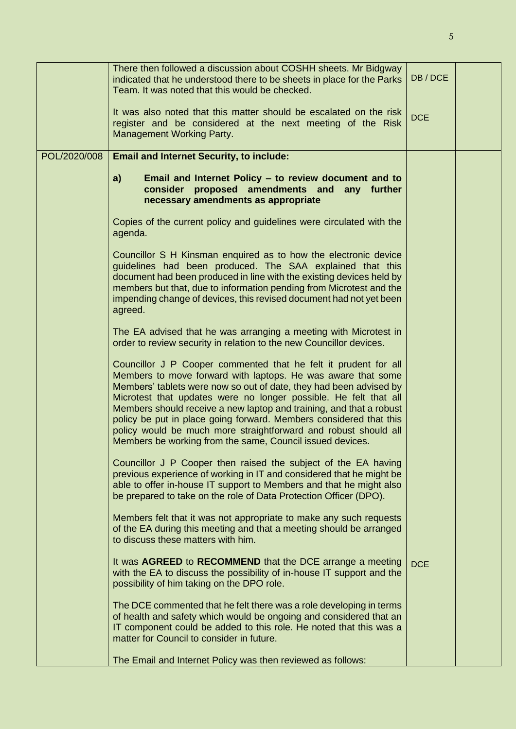|              | There then followed a discussion about COSHH sheets. Mr Bidgway<br>indicated that he understood there to be sheets in place for the Parks<br>Team. It was noted that this would be checked.                                                                                                                                                                                                                                                                                                                                                            | DB/DCE     |  |
|--------------|--------------------------------------------------------------------------------------------------------------------------------------------------------------------------------------------------------------------------------------------------------------------------------------------------------------------------------------------------------------------------------------------------------------------------------------------------------------------------------------------------------------------------------------------------------|------------|--|
|              | It was also noted that this matter should be escalated on the risk<br>register and be considered at the next meeting of the Risk<br><b>Management Working Party.</b>                                                                                                                                                                                                                                                                                                                                                                                   | <b>DCE</b> |  |
| POL/2020/008 | <b>Email and Internet Security, to include:</b>                                                                                                                                                                                                                                                                                                                                                                                                                                                                                                        |            |  |
|              | a)<br>Email and Internet Policy – to review document and to<br>consider proposed amendments and any further<br>necessary amendments as appropriate                                                                                                                                                                                                                                                                                                                                                                                                     |            |  |
|              | Copies of the current policy and guidelines were circulated with the<br>agenda.                                                                                                                                                                                                                                                                                                                                                                                                                                                                        |            |  |
|              | Councillor S H Kinsman enquired as to how the electronic device<br>guidelines had been produced. The SAA explained that this<br>document had been produced in line with the existing devices held by<br>members but that, due to information pending from Microtest and the<br>impending change of devices, this revised document had not yet been<br>agreed.                                                                                                                                                                                          |            |  |
|              | The EA advised that he was arranging a meeting with Microtest in<br>order to review security in relation to the new Councillor devices.                                                                                                                                                                                                                                                                                                                                                                                                                |            |  |
|              | Councillor J P Cooper commented that he felt it prudent for all<br>Members to move forward with laptops. He was aware that some<br>Members' tablets were now so out of date, they had been advised by<br>Microtest that updates were no longer possible. He felt that all<br>Members should receive a new laptop and training, and that a robust<br>policy be put in place going forward. Members considered that this<br>policy would be much more straightforward and robust should all<br>Members be working from the same, Council issued devices. |            |  |
|              | Councillor J P Cooper then raised the subject of the EA having<br>previous experience of working in IT and considered that he might be<br>able to offer in-house IT support to Members and that he might also<br>be prepared to take on the role of Data Protection Officer (DPO).                                                                                                                                                                                                                                                                     |            |  |
|              | Members felt that it was not appropriate to make any such requests<br>of the EA during this meeting and that a meeting should be arranged<br>to discuss these matters with him.                                                                                                                                                                                                                                                                                                                                                                        |            |  |
|              | It was <b>AGREED</b> to <b>RECOMMEND</b> that the DCE arrange a meeting<br>with the EA to discuss the possibility of in-house IT support and the<br>possibility of him taking on the DPO role.                                                                                                                                                                                                                                                                                                                                                         | <b>DCE</b> |  |
|              | The DCE commented that he felt there was a role developing in terms<br>of health and safety which would be ongoing and considered that an<br>IT component could be added to this role. He noted that this was a<br>matter for Council to consider in future.                                                                                                                                                                                                                                                                                           |            |  |
|              | The Email and Internet Policy was then reviewed as follows:                                                                                                                                                                                                                                                                                                                                                                                                                                                                                            |            |  |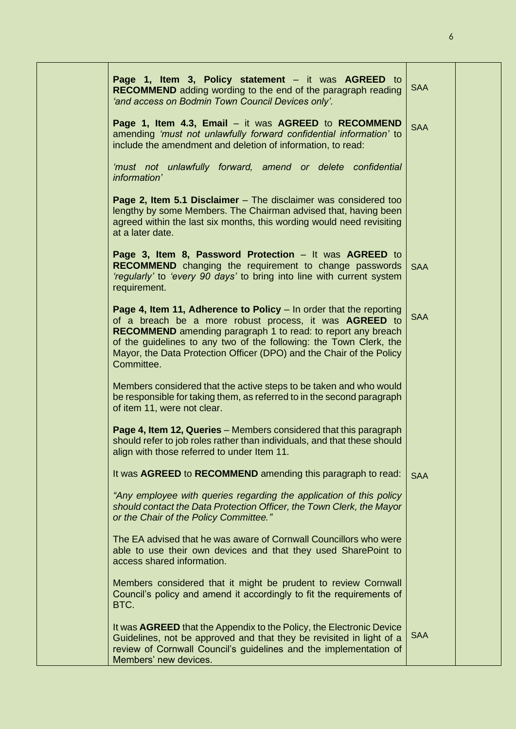| Page 1, Item 3, Policy statement – it was AGREED to<br><b>RECOMMEND</b> adding wording to the end of the paragraph reading<br>'and access on Bodmin Town Council Devices only'.                                                                                                                                                                                 | <b>SAA</b> |  |
|-----------------------------------------------------------------------------------------------------------------------------------------------------------------------------------------------------------------------------------------------------------------------------------------------------------------------------------------------------------------|------------|--|
| Page 1, Item 4.3, Email – it was AGREED to RECOMMEND<br>amending 'must not unlawfully forward confidential information' to<br>include the amendment and deletion of information, to read:                                                                                                                                                                       | <b>SAA</b> |  |
| 'must not unlawfully forward, amend or delete confidential<br>information'                                                                                                                                                                                                                                                                                      |            |  |
| Page 2, Item 5.1 Disclaimer – The disclaimer was considered too<br>lengthy by some Members. The Chairman advised that, having been<br>agreed within the last six months, this wording would need revisiting<br>at a later date.                                                                                                                                 |            |  |
| Page 3, Item 8, Password Protection - It was AGREED to<br><b>RECOMMEND</b> changing the requirement to change passwords<br>'regularly' to 'every 90 days' to bring into line with current system<br>requirement.                                                                                                                                                | <b>SAA</b> |  |
| Page 4, Item 11, Adherence to Policy - In order that the reporting<br>of a breach be a more robust process, it was AGREED to<br><b>RECOMMEND</b> amending paragraph 1 to read: to report any breach<br>of the guidelines to any two of the following: the Town Clerk, the<br>Mayor, the Data Protection Officer (DPO) and the Chair of the Policy<br>Committee. | <b>SAA</b> |  |
| Members considered that the active steps to be taken and who would<br>be responsible for taking them, as referred to in the second paragraph<br>of item 11, were not clear.                                                                                                                                                                                     |            |  |
| Page 4, Item 12, Queries – Members considered that this paragraph<br>should refer to job roles rather than individuals, and that these should<br>align with those referred to under Item 11.                                                                                                                                                                    |            |  |
| It was AGREED to RECOMMEND amending this paragraph to read:                                                                                                                                                                                                                                                                                                     | <b>SAA</b> |  |
| "Any employee with queries regarding the application of this policy<br>should contact the Data Protection Officer, the Town Clerk, the Mayor<br>or the Chair of the Policy Committee."                                                                                                                                                                          |            |  |
| The EA advised that he was aware of Cornwall Councillors who were<br>able to use their own devices and that they used SharePoint to<br>access shared information.                                                                                                                                                                                               |            |  |
| Members considered that it might be prudent to review Cornwall<br>Council's policy and amend it accordingly to fit the requirements of<br>BTC.                                                                                                                                                                                                                  |            |  |
| It was AGREED that the Appendix to the Policy, the Electronic Device<br>Guidelines, not be approved and that they be revisited in light of a<br>review of Cornwall Council's guidelines and the implementation of<br>Members' new devices.                                                                                                                      | <b>SAA</b> |  |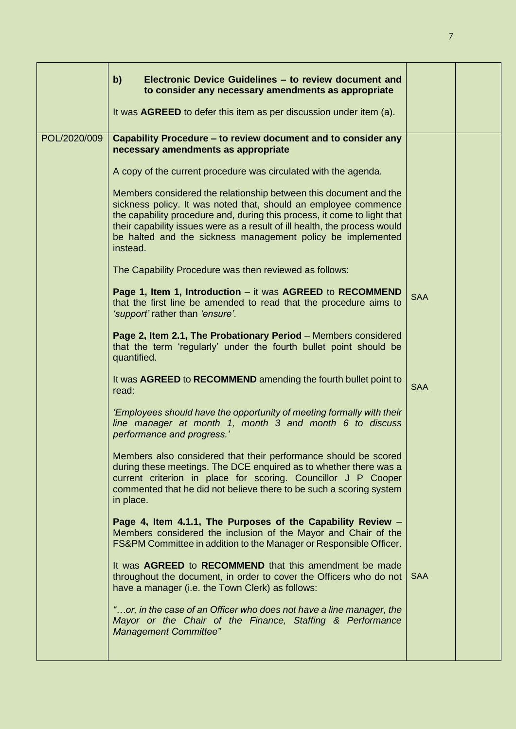|              | $\mathbf{b}$<br>Electronic Device Guidelines - to review document and<br>to consider any necessary amendments as appropriate                                                                                                                                                                                                                                             |            |  |
|--------------|--------------------------------------------------------------------------------------------------------------------------------------------------------------------------------------------------------------------------------------------------------------------------------------------------------------------------------------------------------------------------|------------|--|
|              | It was <b>AGREED</b> to defer this item as per discussion under item (a).                                                                                                                                                                                                                                                                                                |            |  |
| POL/2020/009 | Capability Procedure – to review document and to consider any<br>necessary amendments as appropriate                                                                                                                                                                                                                                                                     |            |  |
|              | A copy of the current procedure was circulated with the agenda.                                                                                                                                                                                                                                                                                                          |            |  |
|              | Members considered the relationship between this document and the<br>sickness policy. It was noted that, should an employee commence<br>the capability procedure and, during this process, it come to light that<br>their capability issues were as a result of ill health, the process would<br>be halted and the sickness management policy be implemented<br>instead. |            |  |
|              | The Capability Procedure was then reviewed as follows:                                                                                                                                                                                                                                                                                                                   |            |  |
|              | Page 1, Item 1, Introduction – it was AGREED to RECOMMEND<br>that the first line be amended to read that the procedure aims to<br>'support' rather than 'ensure'.                                                                                                                                                                                                        | <b>SAA</b> |  |
|              | Page 2, Item 2.1, The Probationary Period - Members considered<br>that the term 'regularly' under the fourth bullet point should be<br>quantified.                                                                                                                                                                                                                       |            |  |
|              | It was AGREED to RECOMMEND amending the fourth bullet point to<br>read:                                                                                                                                                                                                                                                                                                  | <b>SAA</b> |  |
|              | 'Employees should have the opportunity of meeting formally with their<br>line manager at month 1, month 3 and month 6 to discuss<br>performance and progress.'                                                                                                                                                                                                           |            |  |
|              | Members also considered that their performance should be scored<br>during these meetings. The DCE enquired as to whether there was a<br>current criterion in place for scoring. Councillor J P Cooper<br>commented that he did not believe there to be such a scoring system<br>in place.                                                                                |            |  |
|              | Page 4, Item 4.1.1, The Purposes of the Capability Review -<br>Members considered the inclusion of the Mayor and Chair of the<br>FS&PM Committee in addition to the Manager or Responsible Officer.                                                                                                                                                                      |            |  |
|              | It was AGREED to RECOMMEND that this amendment be made<br>throughout the document, in order to cover the Officers who do not<br>have a manager (i.e. the Town Clerk) as follows:                                                                                                                                                                                         | <b>SAA</b> |  |
|              | "or, in the case of an Officer who does not have a line manager, the<br>Mayor or the Chair of the Finance, Staffing & Performance<br><b>Management Committee"</b>                                                                                                                                                                                                        |            |  |
|              |                                                                                                                                                                                                                                                                                                                                                                          |            |  |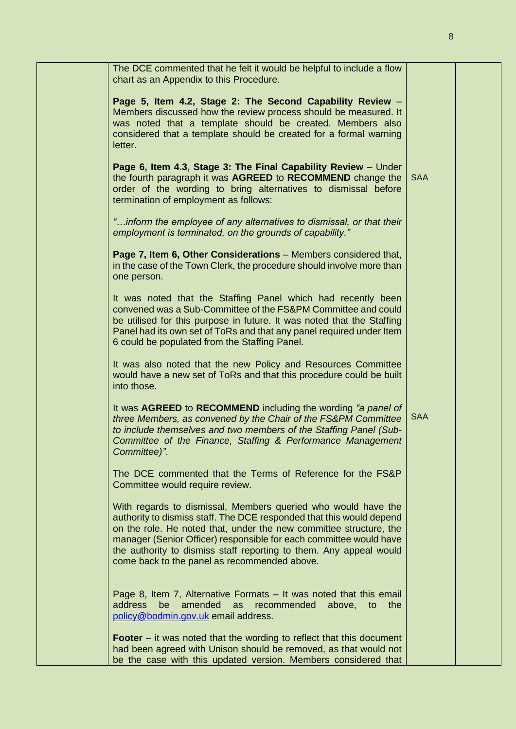| The DCE commented that he felt it would be helpful to include a flow<br>chart as an Appendix to this Procedure.                                                                                                                                                                                                                                                                                         |            |  |
|---------------------------------------------------------------------------------------------------------------------------------------------------------------------------------------------------------------------------------------------------------------------------------------------------------------------------------------------------------------------------------------------------------|------------|--|
| Page 5, Item 4.2, Stage 2: The Second Capability Review -<br>Members discussed how the review process should be measured. It<br>was noted that a template should be created. Members also<br>considered that a template should be created for a formal warning<br>letter.                                                                                                                               |            |  |
| Page 6, Item 4.3, Stage 3: The Final Capability Review - Under<br>the fourth paragraph it was AGREED to RECOMMEND change the<br>order of the wording to bring alternatives to dismissal before<br>termination of employment as follows:                                                                                                                                                                 | <b>SAA</b> |  |
| "inform the employee of any alternatives to dismissal, or that their<br>employment is terminated, on the grounds of capability."                                                                                                                                                                                                                                                                        |            |  |
| Page 7, Item 6, Other Considerations - Members considered that,<br>in the case of the Town Clerk, the procedure should involve more than<br>one person.                                                                                                                                                                                                                                                 |            |  |
| It was noted that the Staffing Panel which had recently been<br>convened was a Sub-Committee of the FS&PM Committee and could<br>be utilised for this purpose in future. It was noted that the Staffing<br>Panel had its own set of ToRs and that any panel required under Item<br>6 could be populated from the Staffing Panel.                                                                        |            |  |
| It was also noted that the new Policy and Resources Committee<br>would have a new set of ToRs and that this procedure could be built<br>into those.                                                                                                                                                                                                                                                     |            |  |
| It was AGREED to RECOMMEND including the wording "a panel of<br>three Members, as convened by the Chair of the FS&PM Committee<br>to include themselves and two members of the Staffing Panel (Sub-<br>Committee of the Finance, Staffing & Performance Management<br>Committee)".                                                                                                                      | <b>SAA</b> |  |
| The DCE commented that the Terms of Reference for the FS&P<br>Committee would require review.                                                                                                                                                                                                                                                                                                           |            |  |
| With regards to dismissal, Members queried who would have the<br>authority to dismiss staff. The DCE responded that this would depend<br>on the role. He noted that, under the new committee structure, the<br>manager (Senior Officer) responsible for each committee would have<br>the authority to dismiss staff reporting to them. Any appeal would<br>come back to the panel as recommended above. |            |  |
| Page 8, Item 7, Alternative Formats – It was noted that this email<br>be amended<br>address<br>recommended above, to<br>the<br>as<br>policy@bodmin.gov.uk email address.                                                                                                                                                                                                                                |            |  |
| <b>Footer</b> $-$ it was noted that the wording to reflect that this document<br>had been agreed with Unison should be removed, as that would not<br>be the case with this updated version. Members considered that                                                                                                                                                                                     |            |  |

8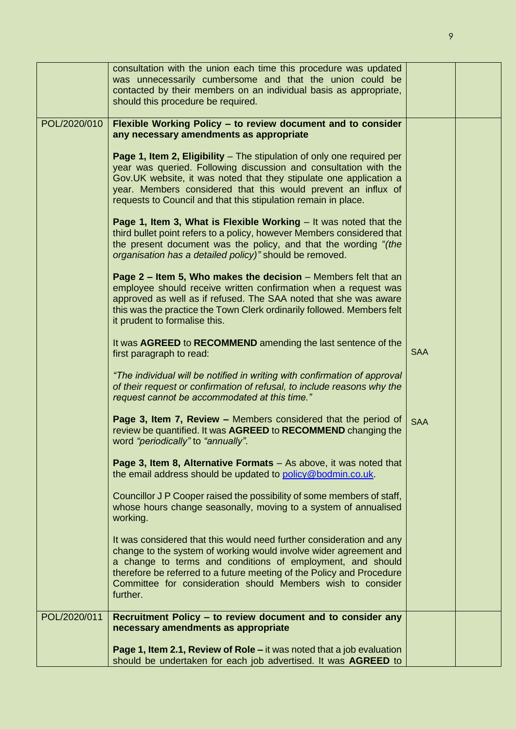|              | consultation with the union each time this procedure was updated<br>was unnecessarily cumbersome and that the union could be<br>contacted by their members on an individual basis as appropriate,<br>should this procedure be required.                                                                                                                     |            |  |
|--------------|-------------------------------------------------------------------------------------------------------------------------------------------------------------------------------------------------------------------------------------------------------------------------------------------------------------------------------------------------------------|------------|--|
| POL/2020/010 | Flexible Working Policy - to review document and to consider<br>any necessary amendments as appropriate                                                                                                                                                                                                                                                     |            |  |
|              | Page 1, Item 2, Eligibility – The stipulation of only one required per<br>year was queried. Following discussion and consultation with the<br>Gov.UK website, it was noted that they stipulate one application a<br>year. Members considered that this would prevent an influx of<br>requests to Council and that this stipulation remain in place.         |            |  |
|              | Page 1, Item 3, What is Flexible Working $-$ It was noted that the<br>third bullet point refers to a policy, however Members considered that<br>the present document was the policy, and that the wording "(the<br>organisation has a detailed policy)" should be removed.                                                                                  |            |  |
|              | Page $2$ – Item 5, Who makes the decision – Members felt that an<br>employee should receive written confirmation when a request was<br>approved as well as if refused. The SAA noted that she was aware<br>this was the practice the Town Clerk ordinarily followed. Members felt<br>it prudent to formalise this.                                          |            |  |
|              | It was AGREED to RECOMMEND amending the last sentence of the<br>first paragraph to read:                                                                                                                                                                                                                                                                    | <b>SAA</b> |  |
|              | "The individual will be notified in writing with confirmation of approval<br>of their request or confirmation of refusal, to include reasons why the<br>request cannot be accommodated at this time."                                                                                                                                                       |            |  |
|              | Page 3, Item 7, Review - Members considered that the period of<br>review be quantified. It was AGREED to RECOMMEND changing the<br>word "periodically" to "annually".                                                                                                                                                                                       | <b>SAA</b> |  |
|              | <b>Page 3, Item 8, Alternative Formats</b> $-$ As above, it was noted that<br>the email address should be updated to policy@bodmin.co.uk.                                                                                                                                                                                                                   |            |  |
|              | Councillor J P Cooper raised the possibility of some members of staff,<br>whose hours change seasonally, moving to a system of annualised<br>working.                                                                                                                                                                                                       |            |  |
|              | It was considered that this would need further consideration and any<br>change to the system of working would involve wider agreement and<br>a change to terms and conditions of employment, and should<br>therefore be referred to a future meeting of the Policy and Procedure<br>Committee for consideration should Members wish to consider<br>further. |            |  |
| POL/2020/011 | Recruitment Policy - to review document and to consider any<br>necessary amendments as appropriate                                                                                                                                                                                                                                                          |            |  |
|              | Page 1, Item 2.1, Review of Role – it was noted that a job evaluation<br>should be undertaken for each job advertised. It was AGREED to                                                                                                                                                                                                                     |            |  |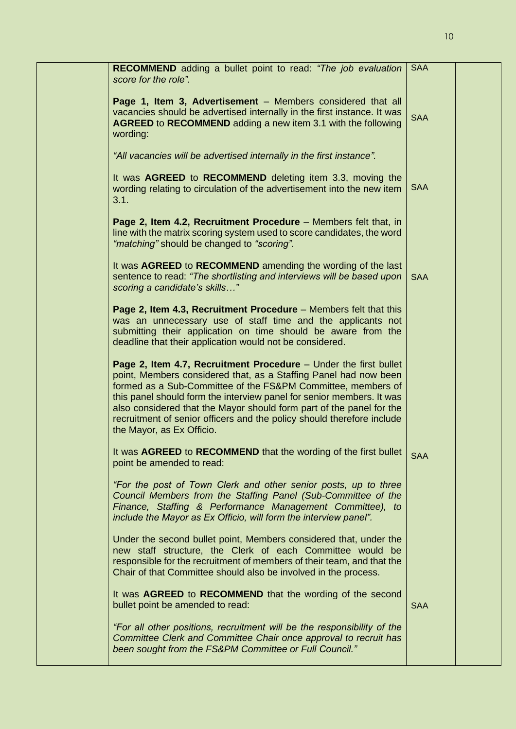| <b>RECOMMEND</b> adding a bullet point to read: "The job evaluation<br>score for the role".                                                                                                                                                                                                                                                                                                                                                                  | <b>SAA</b> |  |
|--------------------------------------------------------------------------------------------------------------------------------------------------------------------------------------------------------------------------------------------------------------------------------------------------------------------------------------------------------------------------------------------------------------------------------------------------------------|------------|--|
| Page 1, Item 3, Advertisement - Members considered that all<br>vacancies should be advertised internally in the first instance. It was<br><b>AGREED to RECOMMEND</b> adding a new item 3.1 with the following<br>wording:                                                                                                                                                                                                                                    | <b>SAA</b> |  |
| "All vacancies will be advertised internally in the first instance".                                                                                                                                                                                                                                                                                                                                                                                         |            |  |
| It was AGREED to RECOMMEND deleting item 3.3, moving the<br>wording relating to circulation of the advertisement into the new item<br>3.1.                                                                                                                                                                                                                                                                                                                   | <b>SAA</b> |  |
| Page 2, Item 4.2, Recruitment Procedure - Members felt that, in<br>line with the matrix scoring system used to score candidates, the word<br>"matching" should be changed to "scoring".                                                                                                                                                                                                                                                                      |            |  |
| It was AGREED to RECOMMEND amending the wording of the last<br>sentence to read: "The shortlisting and interviews will be based upon<br>scoring a candidate's skills"                                                                                                                                                                                                                                                                                        | <b>SAA</b> |  |
| Page 2, Item 4.3, Recruitment Procedure – Members felt that this<br>was an unnecessary use of staff time and the applicants not<br>submitting their application on time should be aware from the<br>deadline that their application would not be considered.                                                                                                                                                                                                 |            |  |
| Page 2, Item 4.7, Recruitment Procedure - Under the first bullet<br>point, Members considered that, as a Staffing Panel had now been<br>formed as a Sub-Committee of the FS&PM Committee, members of<br>this panel should form the interview panel for senior members. It was<br>also considered that the Mayor should form part of the panel for the<br>recruitment of senior officers and the policy should therefore include<br>the Mayor, as Ex Officio. |            |  |
| It was AGREED to RECOMMEND that the wording of the first bullet<br>point be amended to read:                                                                                                                                                                                                                                                                                                                                                                 | <b>SAA</b> |  |
| "For the post of Town Clerk and other senior posts, up to three<br>Council Members from the Staffing Panel (Sub-Committee of the<br>Finance, Staffing & Performance Management Committee), to<br>include the Mayor as Ex Officio, will form the interview panel".                                                                                                                                                                                            |            |  |
| Under the second bullet point, Members considered that, under the<br>new staff structure, the Clerk of each Committee would be<br>responsible for the recruitment of members of their team, and that the<br>Chair of that Committee should also be involved in the process.                                                                                                                                                                                  |            |  |
| It was AGREED to RECOMMEND that the wording of the second<br>bullet point be amended to read:                                                                                                                                                                                                                                                                                                                                                                | <b>SAA</b> |  |
| "For all other positions, recruitment will be the responsibility of the<br>Committee Clerk and Committee Chair once approval to recruit has<br>been sought from the FS&PM Committee or Full Council."                                                                                                                                                                                                                                                        |            |  |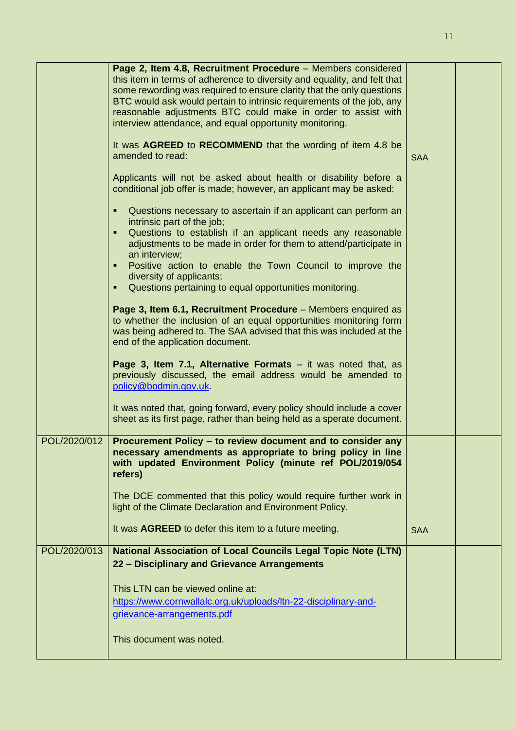|              | Page 2, Item 4.8, Recruitment Procedure - Members considered<br>this item in terms of adherence to diversity and equality, and felt that<br>some rewording was required to ensure clarity that the only questions<br>BTC would ask would pertain to intrinsic requirements of the job, any<br>reasonable adjustments BTC could make in order to assist with<br>interview attendance, and equal opportunity monitoring. |            |  |
|--------------|------------------------------------------------------------------------------------------------------------------------------------------------------------------------------------------------------------------------------------------------------------------------------------------------------------------------------------------------------------------------------------------------------------------------|------------|--|
|              | It was AGREED to RECOMMEND that the wording of item 4.8 be<br>amended to read:                                                                                                                                                                                                                                                                                                                                         | <b>SAA</b> |  |
|              | Applicants will not be asked about health or disability before a<br>conditional job offer is made; however, an applicant may be asked:                                                                                                                                                                                                                                                                                 |            |  |
|              | Questions necessary to ascertain if an applicant can perform an<br>intrinsic part of the job;<br>Questions to establish if an applicant needs any reasonable<br>٠<br>adjustments to be made in order for them to attend/participate in<br>an interview;<br>Positive action to enable the Town Council to improve the<br>diversity of applicants;<br>Questions pertaining to equal opportunities monitoring.            |            |  |
|              | Page 3, Item 6.1, Recruitment Procedure - Members enquired as<br>to whether the inclusion of an equal opportunities monitoring form<br>was being adhered to. The SAA advised that this was included at the<br>end of the application document.                                                                                                                                                                         |            |  |
|              | <b>Page 3, Item 7.1, Alternative Formats</b> $-$ it was noted that, as<br>previously discussed, the email address would be amended to<br>policy@bodmin.gov.uk                                                                                                                                                                                                                                                          |            |  |
|              | It was noted that, going forward, every policy should include a cover<br>sheet as its first page, rather than being held as a sperate document.                                                                                                                                                                                                                                                                        |            |  |
| POL/2020/012 | Procurement Policy – to review document and to consider any<br>necessary amendments as appropriate to bring policy in line<br>with updated Environment Policy (minute ref POL/2019/054<br>refers)                                                                                                                                                                                                                      |            |  |
|              | The DCE commented that this policy would require further work in<br>light of the Climate Declaration and Environment Policy.                                                                                                                                                                                                                                                                                           |            |  |
|              | It was AGREED to defer this item to a future meeting.                                                                                                                                                                                                                                                                                                                                                                  | <b>SAA</b> |  |
| POL/2020/013 | <b>National Association of Local Councils Legal Topic Note (LTN)</b><br>22 - Disciplinary and Grievance Arrangements                                                                                                                                                                                                                                                                                                   |            |  |
|              | This LTN can be viewed online at:<br>https://www.cornwallalc.org.uk/uploads/ltn-22-disciplinary-and-<br>grievance-arrangements.pdf                                                                                                                                                                                                                                                                                     |            |  |
|              | This document was noted.                                                                                                                                                                                                                                                                                                                                                                                               |            |  |